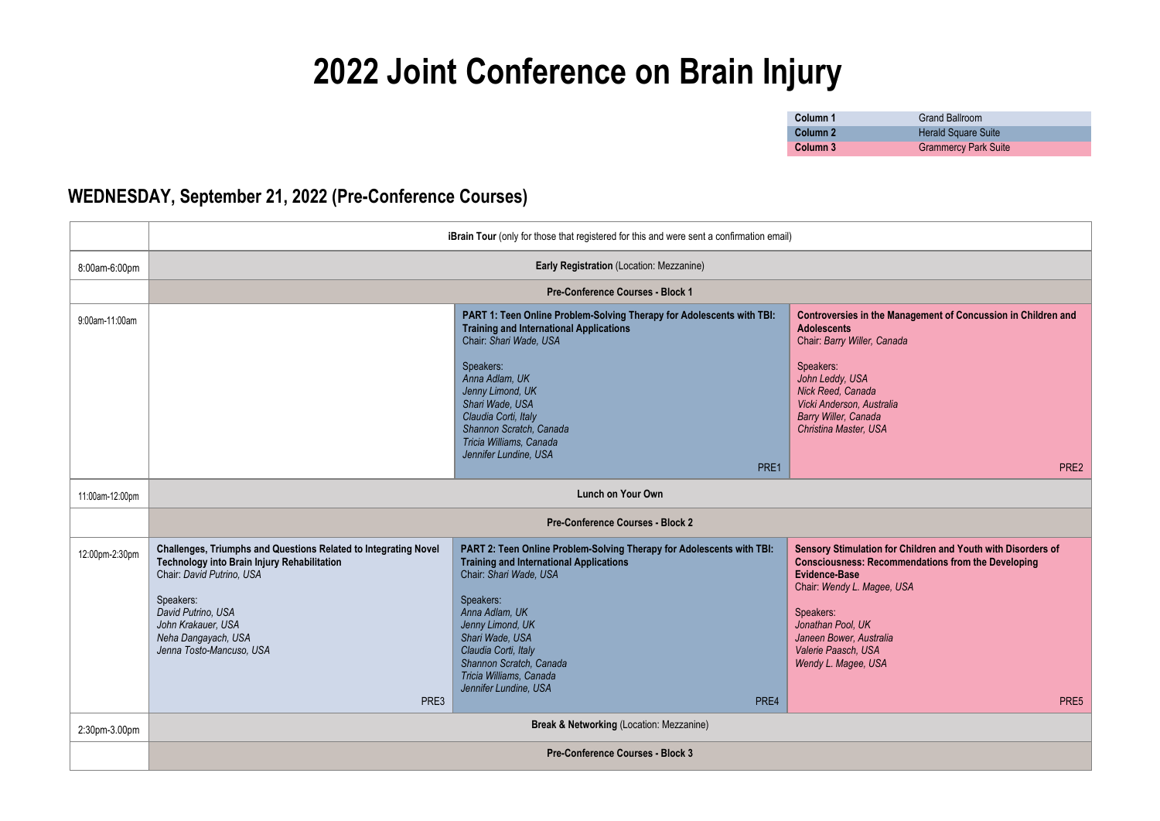# **2022 Joint Conference on Brain Injury**

| Column 1            | <b>Grand Ballroom</b>       |
|---------------------|-----------------------------|
| Column <sub>2</sub> | <b>Herald Square Suite</b>  |
| Column 3            | <b>Grammercy Park Suite</b> |

### **WEDNESDAY, September 21, 2022 (Pre-Conference Courses)**

|                 |                                                                                                                                                                                                                                                                 | iBrain Tour (only for those that registered for this and were sent a confirmation email)                                                                                                                                                                                                                                               |                                                                                                                                                                                                                                                                                                    |
|-----------------|-----------------------------------------------------------------------------------------------------------------------------------------------------------------------------------------------------------------------------------------------------------------|----------------------------------------------------------------------------------------------------------------------------------------------------------------------------------------------------------------------------------------------------------------------------------------------------------------------------------------|----------------------------------------------------------------------------------------------------------------------------------------------------------------------------------------------------------------------------------------------------------------------------------------------------|
| 8:00am-6:00pm   | Early Registration (Location: Mezzanine)                                                                                                                                                                                                                        |                                                                                                                                                                                                                                                                                                                                        |                                                                                                                                                                                                                                                                                                    |
|                 |                                                                                                                                                                                                                                                                 | <b>Pre-Conference Courses - Block 1</b>                                                                                                                                                                                                                                                                                                |                                                                                                                                                                                                                                                                                                    |
| 9:00am-11:00am  |                                                                                                                                                                                                                                                                 | PART 1: Teen Online Problem-Solving Therapy for Adolescents with TBI:<br><b>Training and International Applications</b><br>Chair: Shari Wade, USA<br>Speakers:<br>Anna Adlam, UK<br>Jenny Limond, UK<br>Shari Wade, USA<br>Claudia Corti, Italy<br>Shannon Scratch, Canada<br>Tricia Williams, Canada<br>Jennifer Lundine, USA         | Controversies in the Management of Concussion in Children and<br><b>Adolescents</b><br>Chair: Barry Willer, Canada<br>Speakers:<br>John Leddy, USA<br>Nick Reed, Canada<br>Vicki Anderson, Australia<br>Barry Willer, Canada<br>Christina Master, USA                                              |
|                 |                                                                                                                                                                                                                                                                 | PRE1                                                                                                                                                                                                                                                                                                                                   | PRE2                                                                                                                                                                                                                                                                                               |
| 11:00am-12:00pm |                                                                                                                                                                                                                                                                 | Lunch on Your Own                                                                                                                                                                                                                                                                                                                      |                                                                                                                                                                                                                                                                                                    |
|                 | <b>Pre-Conference Courses - Block 2</b>                                                                                                                                                                                                                         |                                                                                                                                                                                                                                                                                                                                        |                                                                                                                                                                                                                                                                                                    |
| 12:00pm-2:30pm  | Challenges, Triumphs and Questions Related to Integrating Novel<br>Technology into Brain Injury Rehabilitation<br>Chair: David Putrino, USA<br>Speakers:<br>David Putrino, USA<br>John Krakauer, USA<br>Neha Dangayach, USA<br>Jenna Tosto-Mancuso, USA<br>PRE3 | PART 2: Teen Online Problem-Solving Therapy for Adolescents with TBI:<br><b>Training and International Applications</b><br>Chair: Shari Wade, USA<br>Speakers:<br>Anna Adlam. UK<br>Jenny Limond, UK<br>Shari Wade, USA<br>Claudia Corti, Italy<br>Shannon Scratch, Canada<br>Tricia Williams, Canada<br>Jennifer Lundine, USA<br>PRE4 | Sensory Stimulation for Children and Youth with Disorders of<br><b>Consciousness: Recommendations from the Developing</b><br><b>Evidence-Base</b><br>Chair: Wendy L. Magee, USA<br>Speakers:<br>Jonathan Pool, UK<br>Janeen Bower, Australia<br>Valerie Paasch, USA<br>Wendy L. Magee, USA<br>PRE5 |
| 2:30pm-3.00pm   |                                                                                                                                                                                                                                                                 | Break & Networking (Location: Mezzanine)                                                                                                                                                                                                                                                                                               |                                                                                                                                                                                                                                                                                                    |
|                 |                                                                                                                                                                                                                                                                 | Pre-Conference Courses - Block 3                                                                                                                                                                                                                                                                                                       |                                                                                                                                                                                                                                                                                                    |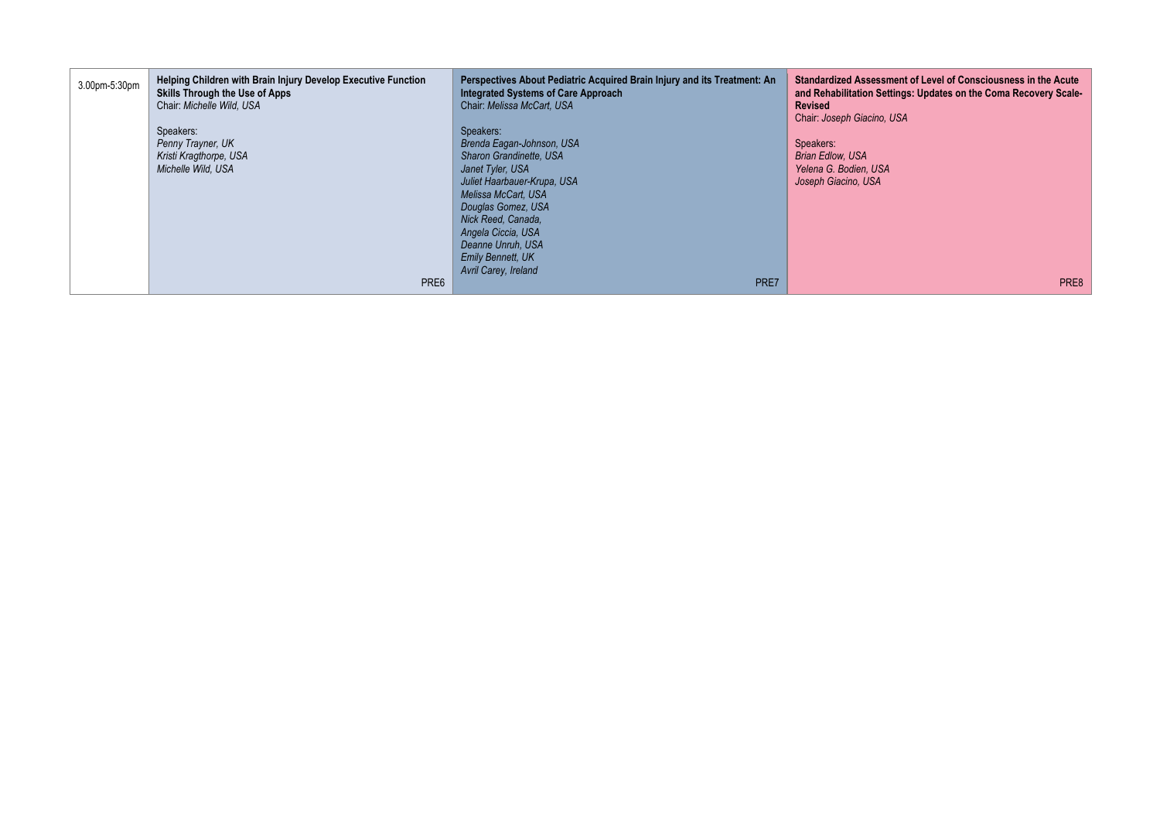| 3.00pm-5:30pm | <b>Helping Children with Brain Injury Develop Executive Function</b><br><b>Skills Through the Use of Apps</b><br>Chair: Michelle Wild, USA | Perspectives About Pediatric Acquired Brain Injury and its Treatment: An<br><b>Integrated Systems of Care Approach</b><br>Chair: Melissa McCart, USA | Standardized Assessment of Level of Consciousness in the Acute<br>and Rehabilitation Settings: Updates on the Coma Recovery Scale-<br><b>Revised</b> |
|---------------|--------------------------------------------------------------------------------------------------------------------------------------------|------------------------------------------------------------------------------------------------------------------------------------------------------|------------------------------------------------------------------------------------------------------------------------------------------------------|
|               | Speakers:                                                                                                                                  | Speakers:                                                                                                                                            | Chair: Joseph Giacino, USA                                                                                                                           |
|               | Penny Trayner, UK                                                                                                                          | Brenda Eagan-Johnson, USA                                                                                                                            | Speakers:                                                                                                                                            |
|               | Kristi Kragthorpe, USA                                                                                                                     | Sharon Grandinette, USA                                                                                                                              | <b>Brian Edlow, USA</b>                                                                                                                              |
|               | Michelle Wild, USA                                                                                                                         | Janet Tyler, USA                                                                                                                                     | Yelena G. Bodien, USA                                                                                                                                |
|               |                                                                                                                                            | Juliet Haarbauer-Krupa, USA                                                                                                                          | Joseph Giacino, USA                                                                                                                                  |
|               |                                                                                                                                            | Melissa McCart, USA                                                                                                                                  |                                                                                                                                                      |
|               |                                                                                                                                            | Douglas Gomez, USA                                                                                                                                   |                                                                                                                                                      |
|               |                                                                                                                                            | Nick Reed, Canada.                                                                                                                                   |                                                                                                                                                      |
|               |                                                                                                                                            | Angela Ciccia, USA                                                                                                                                   |                                                                                                                                                      |
|               |                                                                                                                                            | Deanne Unruh, USA                                                                                                                                    |                                                                                                                                                      |
|               |                                                                                                                                            | <b>Emily Bennett, UK</b>                                                                                                                             |                                                                                                                                                      |
|               |                                                                                                                                            | Avril Carey, Ireland                                                                                                                                 |                                                                                                                                                      |
|               | PRE6                                                                                                                                       | PRE7                                                                                                                                                 | PRE8                                                                                                                                                 |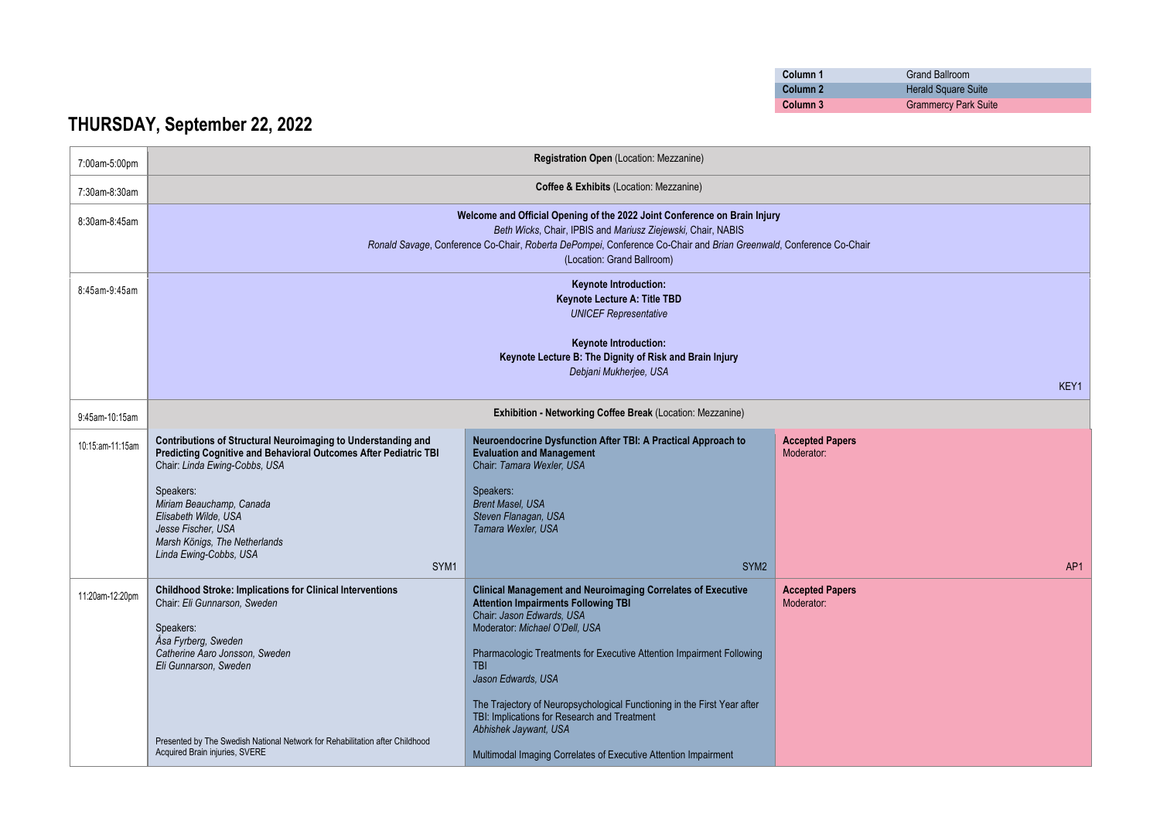| Column 1 | <b>Grand Ballroom</b>       |
|----------|-----------------------------|
| Column 2 | <b>Herald Square Suite</b>  |
| Column 3 | <b>Grammercy Park Suite</b> |

## **THURSDAY, September 22, 2022**

| 7:00am-5:00pm    |                                                                                                                                                                                                                                                                                               | Registration Open (Location: Mezzanine)                                                                                                                                                                                                                                                                                                                                                                                   |                                      |
|------------------|-----------------------------------------------------------------------------------------------------------------------------------------------------------------------------------------------------------------------------------------------------------------------------------------------|---------------------------------------------------------------------------------------------------------------------------------------------------------------------------------------------------------------------------------------------------------------------------------------------------------------------------------------------------------------------------------------------------------------------------|--------------------------------------|
| 7:30am-8:30am    |                                                                                                                                                                                                                                                                                               | Coffee & Exhibits (Location: Mezzanine)                                                                                                                                                                                                                                                                                                                                                                                   |                                      |
| 8:30am-8:45am    | Welcome and Official Opening of the 2022 Joint Conference on Brain Injury<br>Beth Wicks, Chair, IPBIS and Mariusz Ziejewski, Chair, NABIS<br>Ronald Savage, Conference Co-Chair, Roberta DePompei, Conference Co-Chair and Brian Greenwald, Conference Co-Chair<br>(Location: Grand Ballroom) |                                                                                                                                                                                                                                                                                                                                                                                                                           |                                      |
| 8:45am-9:45am    | Keynote Introduction:<br>Keynote Lecture A: Title TBD<br><b>UNICEF Representative</b>                                                                                                                                                                                                         |                                                                                                                                                                                                                                                                                                                                                                                                                           |                                      |
|                  | <b>Keynote Introduction:</b><br>Keynote Lecture B: The Dignity of Risk and Brain Injury<br>Debjani Mukherjee, USA<br>KEY1                                                                                                                                                                     |                                                                                                                                                                                                                                                                                                                                                                                                                           |                                      |
| 9:45am-10:15am   |                                                                                                                                                                                                                                                                                               | Exhibition - Networking Coffee Break (Location: Mezzanine)                                                                                                                                                                                                                                                                                                                                                                |                                      |
| 10:15:am-11:15am | Contributions of Structural Neuroimaging to Understanding and<br>Predicting Cognitive and Behavioral Outcomes After Pediatric TBI<br>Chair: Linda Ewing-Cobbs, USA<br>Speakers:<br>Miriam Beauchamp, Canada<br>Elisabeth Wilde, USA<br>Jesse Fischer, USA<br>Marsh Königs, The Netherlands    | Neuroendocrine Dysfunction After TBI: A Practical Approach to<br><b>Evaluation and Management</b><br>Chair: Tamara Wexler, USA<br>Speakers:<br><b>Brent Masel, USA</b><br>Steven Flanagan, USA<br>Tamara Wexler, USA                                                                                                                                                                                                      | <b>Accepted Papers</b><br>Moderator: |
|                  | Linda Ewing-Cobbs, USA<br>SYM1                                                                                                                                                                                                                                                                | SYM <sub>2</sub>                                                                                                                                                                                                                                                                                                                                                                                                          | AP <sub>1</sub>                      |
| 11:20am-12:20pm  | <b>Childhood Stroke: Implications for Clinical Interventions</b><br>Chair: Eli Gunnarson, Sweden<br>Speakers:<br>Åsa Fyrberg, Sweden<br>Catherine Aaro Jonsson, Sweden<br>Eli Gunnarson, Sweden                                                                                               | <b>Clinical Management and Neuroimaging Correlates of Executive</b><br><b>Attention Impairments Following TBI</b><br>Chair: Jason Edwards, USA<br>Moderator: Michael O'Dell, USA<br>Pharmacologic Treatments for Executive Attention Impairment Following<br><b>TBI</b><br>Jason Edwards, USA<br>The Trajectory of Neuropsychological Functioning in the First Year after<br>TBI: Implications for Research and Treatment | <b>Accepted Papers</b><br>Moderator: |
|                  | Presented by The Swedish National Network for Rehabilitation after Childhood<br>Acquired Brain injuries, SVERE                                                                                                                                                                                | Abhishek Jaywant, USA<br>Multimodal Imaging Correlates of Executive Attention Impairment                                                                                                                                                                                                                                                                                                                                  |                                      |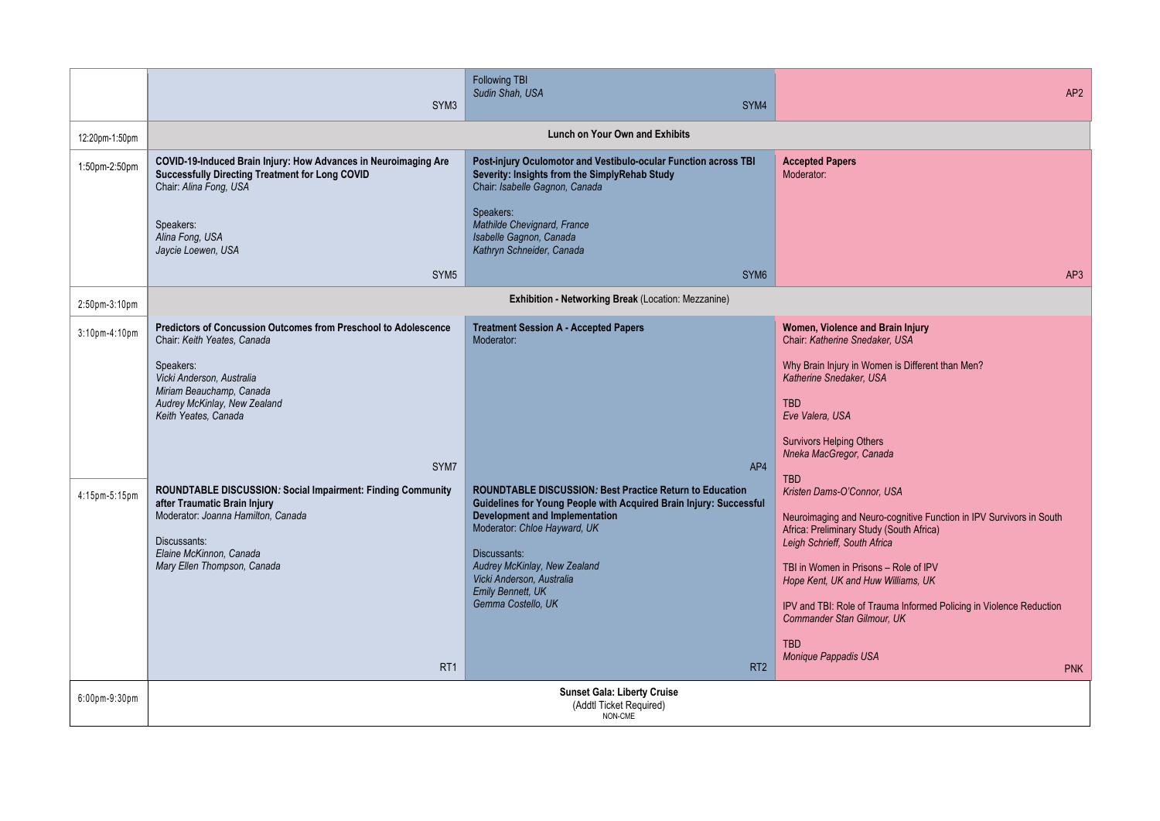|                      | SYM <sub>3</sub>                                                                                                                                                                                                                     | <b>Following TBI</b><br>Sudin Shah. USA<br>SYM4                                                                                                                                                                                                                                                                                                                  | AP <sub>2</sub>                                                                                                                                                                                                                                                                                                                                                                                                              |
|----------------------|--------------------------------------------------------------------------------------------------------------------------------------------------------------------------------------------------------------------------------------|------------------------------------------------------------------------------------------------------------------------------------------------------------------------------------------------------------------------------------------------------------------------------------------------------------------------------------------------------------------|------------------------------------------------------------------------------------------------------------------------------------------------------------------------------------------------------------------------------------------------------------------------------------------------------------------------------------------------------------------------------------------------------------------------------|
| 12:20pm-1:50pm       |                                                                                                                                                                                                                                      | <b>Lunch on Your Own and Exhibits</b>                                                                                                                                                                                                                                                                                                                            |                                                                                                                                                                                                                                                                                                                                                                                                                              |
| 1:50pm-2:50pm        | COVID-19-Induced Brain Injury: How Advances in Neuroimaging Are<br>Successfully Directing Treatment for Long COVID<br>Chair: Alina Fong, USA                                                                                         | Post-injury Oculomotor and Vestibulo-ocular Function across TBI<br>Severity: Insights from the SimplyRehab Study<br>Chair: Isabelle Gagnon, Canada                                                                                                                                                                                                               | <b>Accepted Papers</b><br>Moderator:                                                                                                                                                                                                                                                                                                                                                                                         |
|                      | Speakers:<br>Alina Fong, USA<br>Jaycie Loewen, USA                                                                                                                                                                                   | Speakers:<br>Mathilde Chevignard, France<br>Isabelle Gagnon, Canada<br>Kathryn Schneider, Canada                                                                                                                                                                                                                                                                 |                                                                                                                                                                                                                                                                                                                                                                                                                              |
|                      | SYM <sub>5</sub>                                                                                                                                                                                                                     | SYM <sub>6</sub>                                                                                                                                                                                                                                                                                                                                                 | AP3                                                                                                                                                                                                                                                                                                                                                                                                                          |
| $2:50$ pm $-3:10$ pm |                                                                                                                                                                                                                                      | Exhibition - Networking Break (Location: Mezzanine)                                                                                                                                                                                                                                                                                                              |                                                                                                                                                                                                                                                                                                                                                                                                                              |
| 3:10pm-4:10pm        | Predictors of Concussion Outcomes from Preschool to Adolescence<br>Chair: Keith Yeates, Canada<br>Speakers:<br>Vicki Anderson, Australia<br>Miriam Beauchamp, Canada<br>Audrey McKinlay, New Zealand<br>Keith Yeates, Canada<br>SYM7 | <b>Treatment Session A - Accepted Papers</b><br>Moderator:<br>AP4                                                                                                                                                                                                                                                                                                | Women, Violence and Brain Injury<br>Chair: Katherine Snedaker, USA<br>Why Brain Injury in Women is Different than Men?<br>Katherine Snedaker, USA<br><b>TBD</b><br>Eve Valera, USA<br><b>Survivors Helping Others</b><br>Nneka MacGregor, Canada<br><b>TBD</b>                                                                                                                                                               |
| 4:15pm-5:15pm        | ROUNDTABLE DISCUSSION: Social Impairment: Finding Community<br>after Traumatic Brain Injury<br>Moderator: Joanna Hamilton, Canada<br>Discussants:<br>Elaine McKinnon, Canada<br>Mary Ellen Thompson, Canada<br>RT <sub>1</sub>       | <b>ROUNDTABLE DISCUSSION: Best Practice Return to Education</b><br>Guidelines for Young People with Acquired Brain Injury: Successful<br><b>Development and Implementation</b><br>Moderator: Chloe Hayward, UK<br>Discussants:<br>Audrey McKinlay, New Zealand<br>Vicki Anderson, Australia<br><b>Emily Bennett, UK</b><br>Gemma Costello, UK<br>RT <sub>2</sub> | Kristen Dams-O'Connor, USA<br>Neuroimaging and Neuro-cognitive Function in IPV Survivors in South<br>Africa: Preliminary Study (South Africa)<br>Leigh Schrieff, South Africa<br>TBI in Women in Prisons - Role of IPV<br>Hope Kent, UK and Huw Williams, UK<br>IPV and TBI: Role of Trauma Informed Policing in Violence Reduction<br><b>Commander Stan Gilmour. UK</b><br><b>TBD</b><br>Monique Pappadis USA<br><b>PNK</b> |
| 6:00pm-9:30pm        |                                                                                                                                                                                                                                      | <b>Sunset Gala: Liberty Cruise</b><br>(Addtl Ticket Required)<br>NON-CME                                                                                                                                                                                                                                                                                         |                                                                                                                                                                                                                                                                                                                                                                                                                              |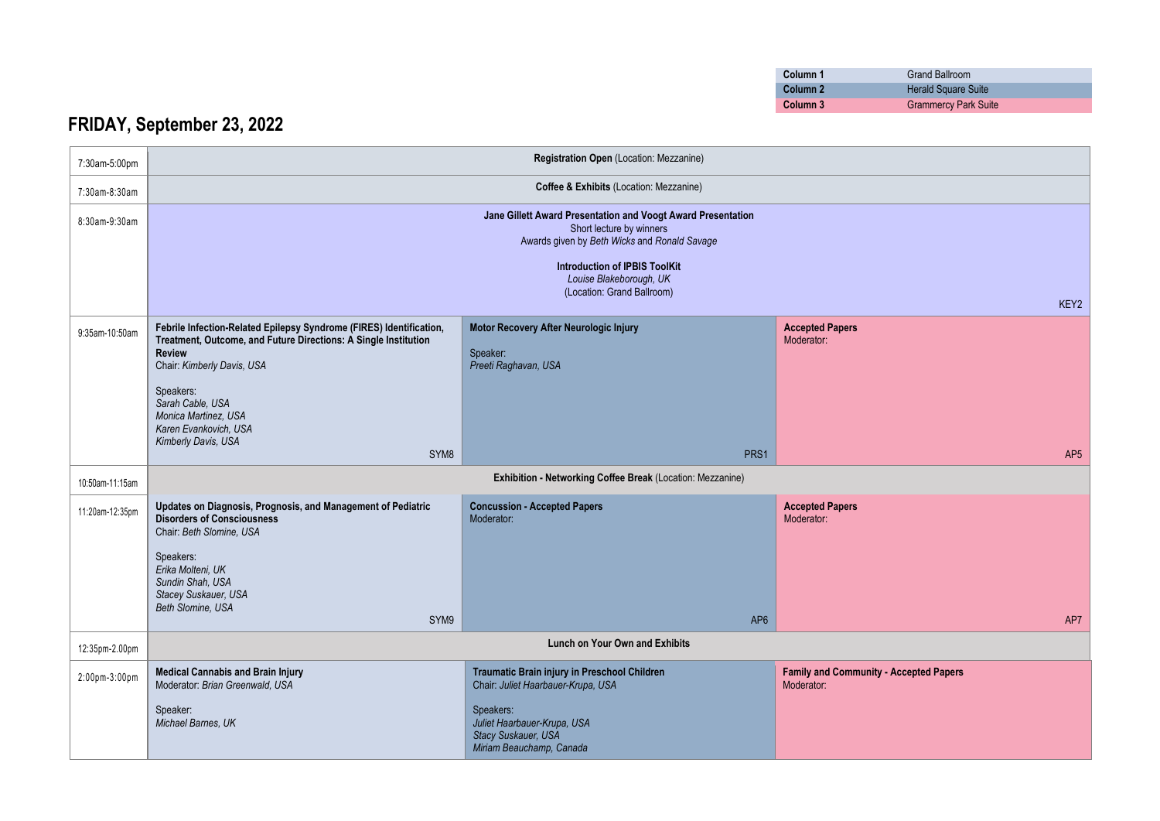| Column 1 | Grand Ballroom              |
|----------|-----------------------------|
| Column 2 | <b>Herald Square Suite</b>  |
| Column 3 | <b>Grammercy Park Suite</b> |

## **FRIDAY, September 23, 2022**

| 7:30am-5:00pm   |                                                                                                                                                                                                                                  | Registration Open (Location: Mezzanine)                                                                                                  |                                                             |
|-----------------|----------------------------------------------------------------------------------------------------------------------------------------------------------------------------------------------------------------------------------|------------------------------------------------------------------------------------------------------------------------------------------|-------------------------------------------------------------|
| 7:30am-8:30am   |                                                                                                                                                                                                                                  | Coffee & Exhibits (Location: Mezzanine)                                                                                                  |                                                             |
| 8:30am-9:30am   |                                                                                                                                                                                                                                  | Jane Gillett Award Presentation and Voogt Award Presentation<br>Short lecture by winners<br>Awards given by Beth Wicks and Ronald Savage |                                                             |
|                 |                                                                                                                                                                                                                                  | <b>Introduction of IPBIS ToolKit</b><br>Louise Blakeborough, UK                                                                          |                                                             |
|                 |                                                                                                                                                                                                                                  | (Location: Grand Ballroom)                                                                                                               | KEY2                                                        |
| 9:35am-10:50am  | Febrile Infection-Related Epilepsy Syndrome (FIRES) Identification,<br>Treatment, Outcome, and Future Directions: A Single Institution<br><b>Review</b><br>Chair: Kimberly Davis, USA                                            | Motor Recovery After Neurologic Injury<br>Speaker:<br>Preeti Raghavan, USA                                                               | <b>Accepted Papers</b><br>Moderator:                        |
|                 | Speakers:<br>Sarah Cable, USA<br>Monica Martinez, USA<br>Karen Evankovich, USA<br>Kimberly Davis, USA                                                                                                                            |                                                                                                                                          |                                                             |
|                 | SYM <sub>8</sub>                                                                                                                                                                                                                 | PRS1                                                                                                                                     | AP <sub>5</sub>                                             |
| 10:50am-11:15am |                                                                                                                                                                                                                                  | Exhibition - Networking Coffee Break (Location: Mezzanine)                                                                               |                                                             |
| 11:20am-12:35pm | Updates on Diagnosis, Prognosis, and Management of Pediatric<br><b>Disorders of Consciousness</b><br>Chair: Beth Slomine, USA<br>Speakers:<br>Erika Molteni, UK<br>Sundin Shah, USA<br>Stacey Suskauer, USA<br>Beth Slomine, USA | <b>Concussion - Accepted Papers</b><br>Moderator:                                                                                        | <b>Accepted Papers</b><br>Moderator:                        |
|                 | SYM9                                                                                                                                                                                                                             | AP <sub>6</sub>                                                                                                                          | AP7                                                         |
| 12:35pm-2.00pm  |                                                                                                                                                                                                                                  | <b>Lunch on Your Own and Exhibits</b>                                                                                                    |                                                             |
| 2:00pm-3:00pm   | <b>Medical Cannabis and Brain Injury</b><br>Moderator: Brian Greenwald, USA                                                                                                                                                      | Traumatic Brain injury in Preschool Children<br>Chair: Juliet Haarbauer-Krupa, USA                                                       | <b>Family and Community - Accepted Papers</b><br>Moderator: |
|                 | Speaker:<br>Michael Barnes, UK                                                                                                                                                                                                   | Speakers:<br>Juliet Haarbauer-Krupa, USA<br>Stacy Suskauer, USA<br>Miriam Beauchamp, Canada                                              |                                                             |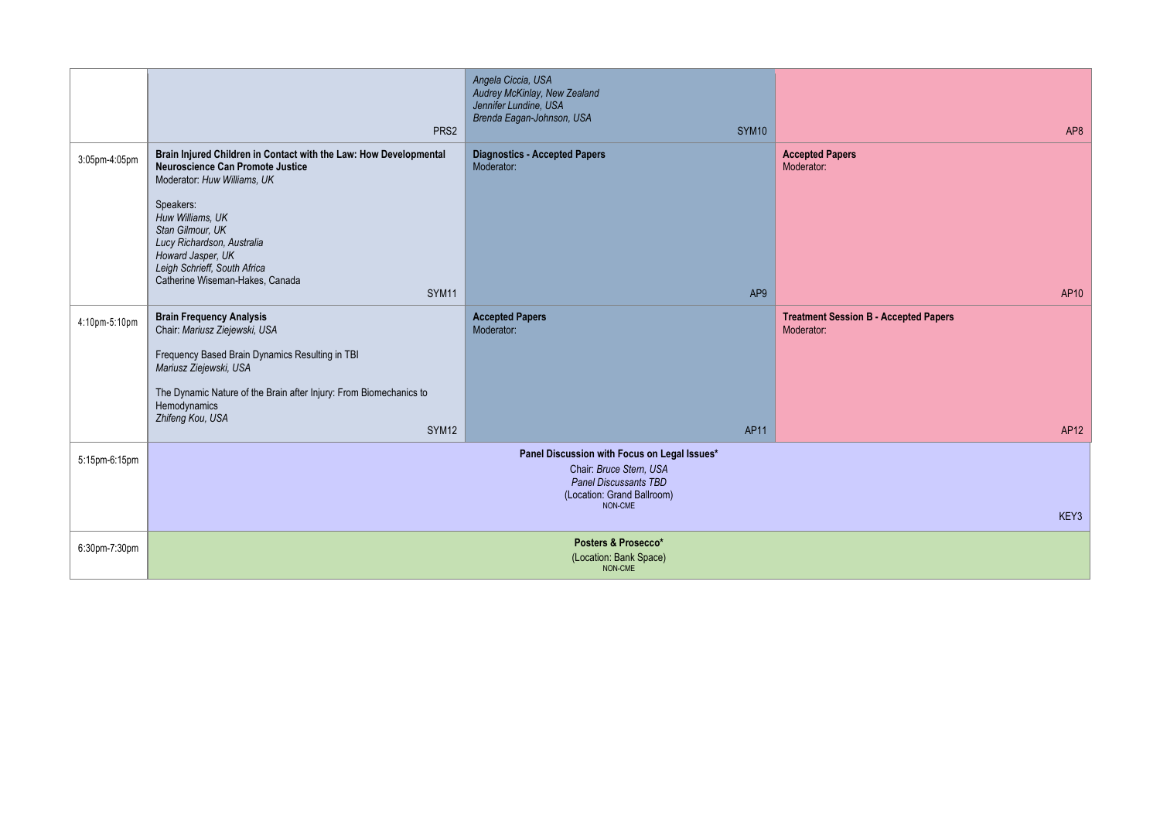|               | PRS2                                                                                                                                                                                                                                                | Angela Ciccia, USA<br>Audrey McKinlay, New Zealand<br>Jennifer Lundine, USA<br>Brenda Eagan-Johnson, USA<br>SYM <sub>10</sub>             | AP8                                                        |
|---------------|-----------------------------------------------------------------------------------------------------------------------------------------------------------------------------------------------------------------------------------------------------|-------------------------------------------------------------------------------------------------------------------------------------------|------------------------------------------------------------|
| 3:05pm-4:05pm | Brain Injured Children in Contact with the Law: How Developmental<br><b>Neuroscience Can Promote Justice</b><br>Moderator: Huw Williams, UK<br>Speakers:<br>Huw Williams, UK<br>Stan Gilmour, UK<br>Lucy Richardson, Australia<br>Howard Jasper, UK | <b>Diagnostics - Accepted Papers</b><br>Moderator:                                                                                        | <b>Accepted Papers</b><br>Moderator:                       |
|               | Leigh Schrieff, South Africa<br>Catherine Wiseman-Hakes, Canada<br>SYM <sub>11</sub>                                                                                                                                                                | AP <sub>9</sub>                                                                                                                           | AP10                                                       |
| 4:10pm-5:10pm | <b>Brain Frequency Analysis</b><br>Chair: Mariusz Ziejewski, USA                                                                                                                                                                                    | <b>Accepted Papers</b><br>Moderator:                                                                                                      | <b>Treatment Session B - Accepted Papers</b><br>Moderator: |
|               | Frequency Based Brain Dynamics Resulting in TBI<br>Mariusz Ziejewski, USA                                                                                                                                                                           |                                                                                                                                           |                                                            |
|               | The Dynamic Nature of the Brain after Injury: From Biomechanics to<br>Hemodynamics<br>Zhifeng Kou, USA                                                                                                                                              |                                                                                                                                           |                                                            |
|               | SYM <sub>12</sub>                                                                                                                                                                                                                                   | AP11                                                                                                                                      | AP12                                                       |
| 5:15pm-6:15pm |                                                                                                                                                                                                                                                     | Panel Discussion with Focus on Legal Issues*<br>Chair: Bruce Stern, USA<br>Panel Discussants TBD<br>(Location: Grand Ballroom)<br>NON-CME |                                                            |
|               |                                                                                                                                                                                                                                                     |                                                                                                                                           | KEY3                                                       |
| 6:30pm-7:30pm |                                                                                                                                                                                                                                                     | Posters & Prosecco*<br>(Location: Bank Space)<br>NON-CME                                                                                  |                                                            |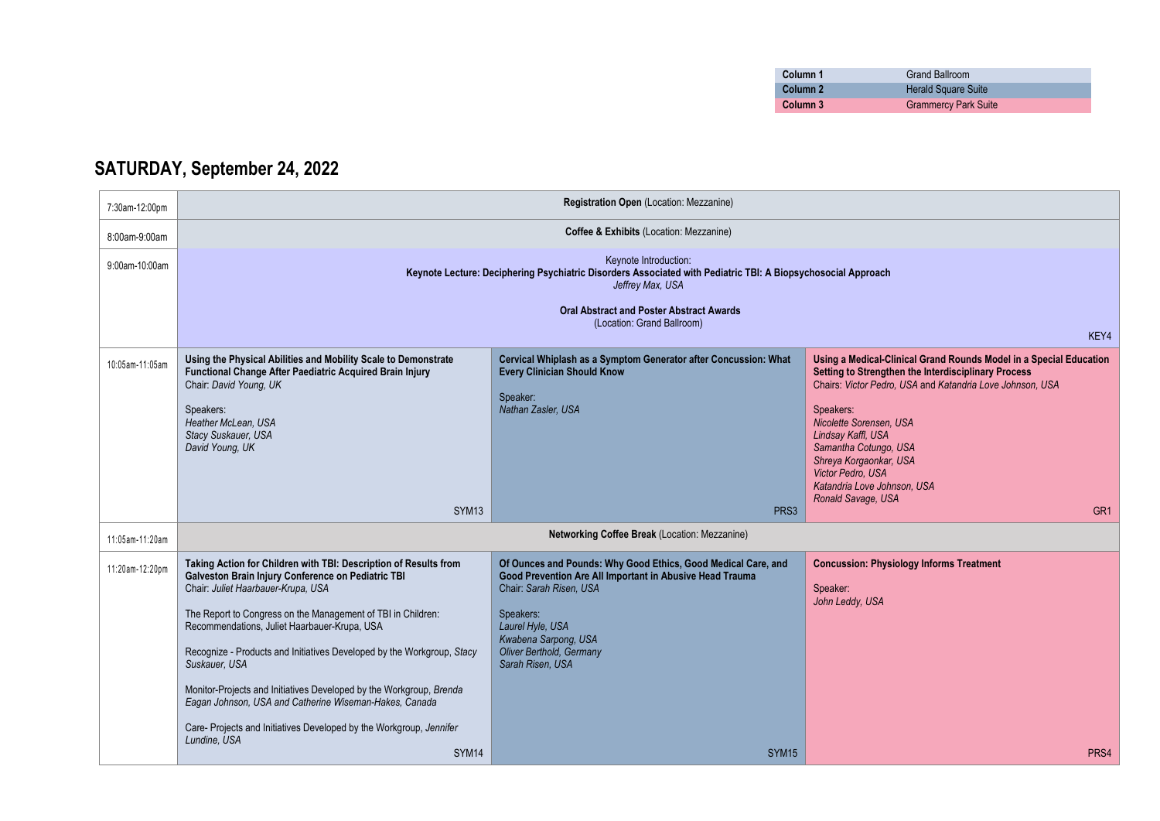| Column 1 | <b>Grand Ballroom</b>       |
|----------|-----------------------------|
| Column 2 | <b>Herald Square Suite</b>  |
| Column 3 | <b>Grammercy Park Suite</b> |

## **SATURDAY, September 24, 2022**

| 7:30am-12:00pm  |                                                                                                                                                                                                                                                                                                                                                                                                                                                                                                                                                                                                 | Registration Open (Location: Mezzanine)                                                                                                                                                                                                                       |                                                                                                                                                                                                                                                                                                                                                                                   |
|-----------------|-------------------------------------------------------------------------------------------------------------------------------------------------------------------------------------------------------------------------------------------------------------------------------------------------------------------------------------------------------------------------------------------------------------------------------------------------------------------------------------------------------------------------------------------------------------------------------------------------|---------------------------------------------------------------------------------------------------------------------------------------------------------------------------------------------------------------------------------------------------------------|-----------------------------------------------------------------------------------------------------------------------------------------------------------------------------------------------------------------------------------------------------------------------------------------------------------------------------------------------------------------------------------|
| 8:00am-9:00am   | Coffee & Exhibits (Location: Mezzanine)                                                                                                                                                                                                                                                                                                                                                                                                                                                                                                                                                         |                                                                                                                                                                                                                                                               |                                                                                                                                                                                                                                                                                                                                                                                   |
| 9:00am-10:00am  | Keynote Introduction:<br>Keynote Lecture: Deciphering Psychiatric Disorders Associated with Pediatric TBI: A Biopsychosocial Approach<br>Jeffrey Max, USA                                                                                                                                                                                                                                                                                                                                                                                                                                       |                                                                                                                                                                                                                                                               |                                                                                                                                                                                                                                                                                                                                                                                   |
|                 |                                                                                                                                                                                                                                                                                                                                                                                                                                                                                                                                                                                                 | <b>Oral Abstract and Poster Abstract Awards</b><br>(Location: Grand Ballroom)                                                                                                                                                                                 | KEY4                                                                                                                                                                                                                                                                                                                                                                              |
| 10:05am-11:05am | Using the Physical Abilities and Mobility Scale to Demonstrate<br>Functional Change After Paediatric Acquired Brain Injury<br>Chair: David Young, UK<br>Speakers:<br>Heather McLean, USA<br>Stacy Suskauer, USA<br>David Young, UK                                                                                                                                                                                                                                                                                                                                                              | Cervical Whiplash as a Symptom Generator after Concussion: What<br><b>Every Clinician Should Know</b><br>Speaker:<br>Nathan Zasler, USA                                                                                                                       | Using a Medical-Clinical Grand Rounds Model in a Special Education<br>Setting to Strengthen the Interdisciplinary Process<br>Chairs: Victor Pedro, USA and Katandria Love Johnson, USA<br>Speakers:<br>Nicolette Sorensen, USA<br>Lindsay Kaffl, USA<br>Samantha Cotungo, USA<br>Shreya Korgaonkar, USA<br>Victor Pedro, USA<br>Katandria Love Johnson, USA<br>Ronald Savage, USA |
|                 | SYM <sub>13</sub>                                                                                                                                                                                                                                                                                                                                                                                                                                                                                                                                                                               | PRS <sub>3</sub>                                                                                                                                                                                                                                              | GR <sub>1</sub>                                                                                                                                                                                                                                                                                                                                                                   |
| 11:05am-11:20am |                                                                                                                                                                                                                                                                                                                                                                                                                                                                                                                                                                                                 | Networking Coffee Break (Location: Mezzanine)                                                                                                                                                                                                                 |                                                                                                                                                                                                                                                                                                                                                                                   |
| 11:20am-12:20pm | Taking Action for Children with TBI: Description of Results from<br>Galveston Brain Injury Conference on Pediatric TBI<br>Chair: Juliet Haarbauer-Krupa, USA<br>The Report to Congress on the Management of TBI in Children:<br>Recommendations, Juliet Haarbauer-Krupa, USA<br>Recognize - Products and Initiatives Developed by the Workgroup, Stacy<br>Suskauer, USA<br>Monitor-Projects and Initiatives Developed by the Workgroup, Brenda<br>Eagan Johnson, USA and Catherine Wiseman-Hakes, Canada<br>Care- Projects and Initiatives Developed by the Workgroup, Jennifer<br>Lundine, USA | Of Ounces and Pounds: Why Good Ethics, Good Medical Care, and<br>Good Prevention Are All Important in Abusive Head Trauma<br>Chair: Sarah Risen, USA<br>Speakers:<br>Laurel Hyle, USA<br>Kwabena Sarpong, USA<br>Oliver Berthold, Germany<br>Sarah Risen, USA | <b>Concussion: Physiology Informs Treatment</b><br>Speaker:<br>John Leddy, USA                                                                                                                                                                                                                                                                                                    |
|                 | SYM14                                                                                                                                                                                                                                                                                                                                                                                                                                                                                                                                                                                           | SYM15                                                                                                                                                                                                                                                         | PRS4                                                                                                                                                                                                                                                                                                                                                                              |